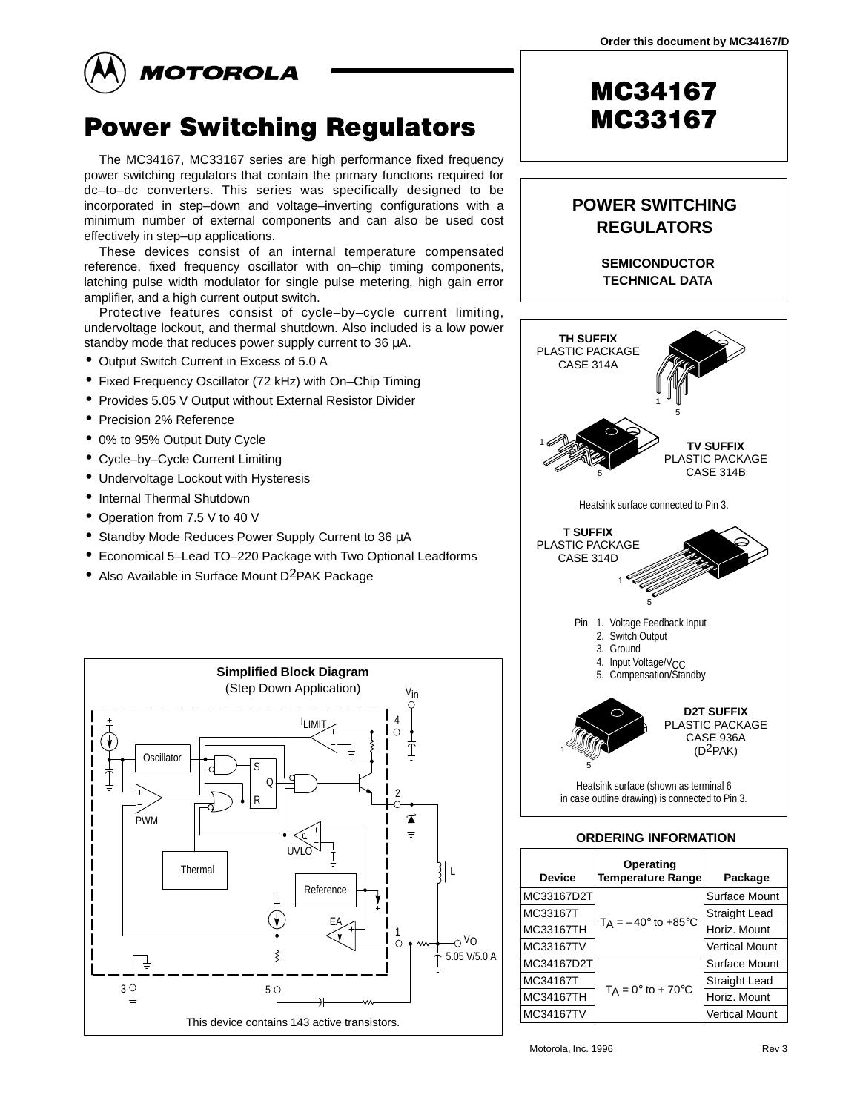MC34167



# **Power Switching Regulators**

The MC34167, MC33167 series are high performance fixed frequency power switching regulators that contain the primary functions required for dc–to–dc converters. This series was specifically designed to be incorporated in step–down and voltage–inverting configurations with a minimum number of external components and can also be used cost effectively in step–up applications.

These devices consist of an internal temperature compensated reference, fixed frequency oscillator with on–chip timing components, latching pulse width modulator for single pulse metering, high gain error amplifier, and a high current output switch.

Protective features consist of cycle–by–cycle current limiting, undervoltage lockout, and thermal shutdown. Also included is a low power standby mode that reduces power supply current to 36  $\mu$ A.

- Output Switch Current in Excess of 5.0 A
- Fixed Frequency Oscillator (72 kHz) with On–Chip Timing
- Provides 5.05 V Output without External Resistor Divider
- Precision 2% Reference
- 0% to 95% Output Duty Cycle
- Cycle–by–Cycle Current Limiting
- Undervoltage Lockout with Hysteresis
- Internal Thermal Shutdown
- Operation from 7.5 V to 40 V
- Standby Mode Reduces Power Supply Current to 36 µA
- Economical 5–Lead TO–220 Package with Two Optional Leadforms
- Also Available in Surface Mount D<sup>2</sup>PAK Package





### **ORDERING INFORMATION**

| <b>Device</b> | Operating<br>Temperature Range     | Package               |
|---------------|------------------------------------|-----------------------|
| MC33167D2T    |                                    | Surface Mount         |
| MC33167T      |                                    | Straight Lead         |
| MC33167TH     | $T_A = -40^\circ$ to $+85^\circ$ C | Horiz, Mount          |
| MC33167TV     |                                    | <b>Vertical Mount</b> |
| MC34167D2T    |                                    | Surface Mount         |
| MC34167T      |                                    | Straight Lead         |
| MC34167TH     | $T_A = 0^\circ$ to + 70 $^\circ$ C | Horiz, Mount          |
| MC34167TV     |                                    | <b>Vertical Mount</b> |

© Motorola, Inc. 1996 Rev 3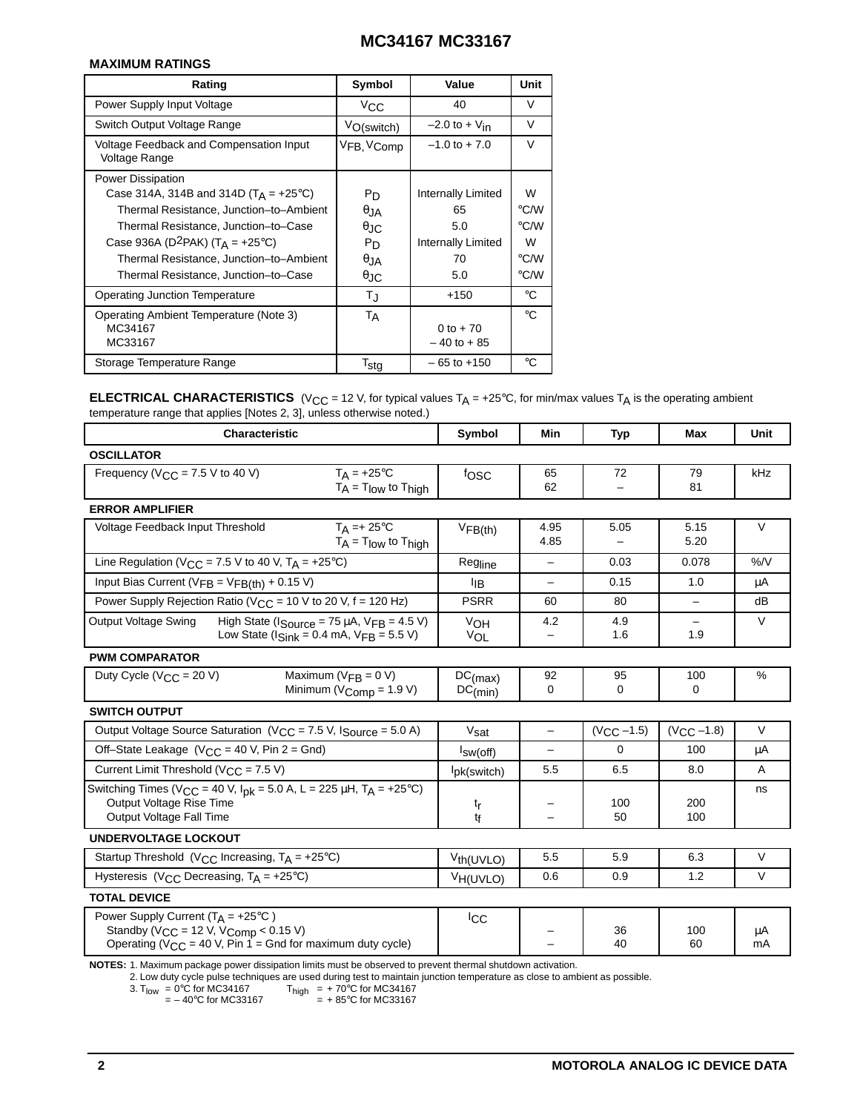#### **MAXIMUM RATINGS**

| Rating                                                       | Symbol           | Value                        | Unit               |
|--------------------------------------------------------------|------------------|------------------------------|--------------------|
| Power Supply Input Voltage                                   | $V_{CC}$         | 40                           | V                  |
| Switch Output Voltage Range                                  | $V_{O(switch)}$  | $-2.0$ to + $V_{in}$         | V                  |
| Voltage Feedback and Compensation Input<br>Voltage Range     | VFB, VComp       | $-1.0$ to $+7.0$             | $\vee$             |
| Power Dissipation                                            |                  |                              |                    |
| Case 314A, 314B and 314D ( $T_A = +25^{\circ}C$ )            | Pn               | <b>Internally Limited</b>    | W                  |
| Thermal Resistance, Junction-to-Ambient                      | $\theta$ JA      | 65                           | $\rm ^{\circ}$ C/W |
| Thermal Resistance, Junction-to-Case                         | θJC              | 5.0                          | °C∕W               |
| Case 936A (D <sup>2</sup> PAK) (T <sub>A</sub> = +25°C)      | P <sub>D</sub>   | <b>Internally Limited</b>    | W                  |
| Thermal Resistance, Junction-to-Ambient                      | $\theta$ JA      | 70                           | °C∕W               |
| Thermal Resistance, Junction-to-Case                         | $\theta$ JC      | 5.0                          | °C/W               |
| <b>Operating Junction Temperature</b>                        | TJ               | $+150$                       | °C                 |
| Operating Ambient Temperature (Note 3)<br>MC34167<br>MC33167 | TA               | 0 to $+70$<br>$-40$ to $+85$ | °C                 |
| Storage Temperature Range                                    | $T_{\text{stg}}$ | $-65$ to $+150$              | °C                 |

**ELECTRICAL CHARACTERISTICS** (V<sub>CC</sub> = 12 V, for typical values T<sub>A</sub> = +25°C, for min/max values T<sub>A</sub> is the operating ambient temperature range that applies [Notes 2, 3], unless otherwise noted.)

| Characteristic                                                                                                                                                       |                                                              | Symbol                | Min                      | <b>Typ</b>       | Max                      | Unit     |
|----------------------------------------------------------------------------------------------------------------------------------------------------------------------|--------------------------------------------------------------|-----------------------|--------------------------|------------------|--------------------------|----------|
| <b>OSCILLATOR</b>                                                                                                                                                    |                                                              |                       |                          |                  |                          |          |
| Frequency ( $V_{C,C}$ = 7.5 V to 40 V)                                                                                                                               | $T_A = +25$ °C<br>$T_A = T_{low}$ to $T_{high}$              | fosc                  | 65<br>62                 | 72               | 79<br>81                 | kHz      |
| <b>ERROR AMPLIFIER</b>                                                                                                                                               |                                                              |                       |                          |                  |                          |          |
| Voltage Feedback Input Threshold                                                                                                                                     | $T_A = +25$ °C<br>$T_A = T_{low}$ to $T_{high}$              | VFB(th)               | 4.95<br>4.85             | 5.05             | 5.15<br>5.20             | $\vee$   |
| Line Regulation ( $V_{CC}$ = 7.5 V to 40 V, T <sub>A</sub> = +25°C)                                                                                                  |                                                              | Regline               | $-$                      | 0.03             | 0.078                    | %N       |
| Input Bias Current ( $V_{FB} = V_{FB(th)} + 0.15 V$ )                                                                                                                |                                                              | ŀıв                   | $-$                      | 0.15             | 1.0                      | μA       |
| Power Supply Rejection Ratio (V <sub>CC</sub> = 10 V to 20 V, f = 120 Hz)                                                                                            |                                                              | <b>PSRR</b>           | 60                       | 80               | $\overline{\phantom{0}}$ | dB       |
| Output Voltage Swing<br>High State ( $I_{\text{Source}}$ = 75 µA, $V_{\text{FB}}$ = 4.5 V)<br>Low State ( $I_{\text{Sink}} = 0.4$ mA, $V_{\text{FR}} = 5.5$ V)       |                                                              | VOH<br>VOL            | 4.2                      | 4.9<br>1.6       | 1.9                      | $\vee$   |
| <b>PWM COMPARATOR</b>                                                                                                                                                |                                                              |                       |                          |                  |                          |          |
| Duty Cycle ( $V_{C}$ = 20 V)                                                                                                                                         | Maximum ( $V_{FR} = 0 V$ )<br>Minimum ( $V_{Comp} = 1.9 V$ ) | DC(max)<br>DC(min)    | 92<br>0                  | 95<br>0          | 100<br>0                 | %        |
| <b>SWITCH OUTPUT</b>                                                                                                                                                 |                                                              |                       |                          |                  |                          |          |
| Output Voltage Source Saturation (V <sub>CC</sub> = 7.5 V, I <sub>Source</sub> = 5.0 A)                                                                              |                                                              | $V_{\text{sat}}$      | $\overline{\phantom{0}}$ | $(V_{CC} - 1.5)$ | $(V_{CC} - 1.8)$         | $\vee$   |
| Off-State Leakage ( $V_{CC}$ = 40 V, Pin 2 = Gnd)                                                                                                                    |                                                              | I <sub>SW</sub> (off) | -                        | $\Omega$         | 100                      | μA       |
| Current Limit Threshold (V <sub>CC</sub> = 7.5 V)                                                                                                                    |                                                              | lpk(switch)           | 5.5                      | 6.5              | 8.0                      | A        |
| Switching Times ( $V_{CC}$ = 40 V, $I_{pk}$ = 5.0 A, L = 225 $\mu$ H, T <sub>A</sub> = +25°C)<br>Output Voltage Rise Time<br>Output Voltage Fall Time                |                                                              | $t_{\rm r}$<br>tf     | $\overline{\phantom{0}}$ | 100<br>50        | 200<br>100               | ns       |
| <b>UNDERVOLTAGE LOCKOUT</b>                                                                                                                                          |                                                              |                       |                          |                  |                          |          |
| Startup Threshold (V <sub>CC</sub> Increasing, $T_A = +25^\circ C$ )                                                                                                 |                                                              | $V_{th(UVLO)}$        | 5.5                      | 5.9              | 6.3                      | $\vee$   |
| Hysteresis (V <sub>CC</sub> Decreasing, $T_A = +25^{\circ}C$ )                                                                                                       |                                                              | VH(UVLO)              | 0.6                      | 0.9              | 1.2                      | $\vee$   |
| <b>TOTAL DEVICE</b>                                                                                                                                                  |                                                              |                       |                          |                  |                          |          |
| Power Supply Current ( $T_A = +25^{\circ}C$ )<br>Standby ( $V_{CC}$ = 12 V, $V_{Comp}$ < 0.15 V)<br>Operating ( $V_{CC}$ = 40 V, Pin 1 = Gnd for maximum duty cycle) |                                                              | <b>ICC</b>            |                          | 36<br>40         | 100<br>60                | μA<br>mA |

**NOTES:** 1. Maximum package power dissipation limits must be observed to prevent thermal shutdown activation.

2. Low duty cycle pulse techniques are used during test to maintain junction temperature as close to ambient as possible.

3. T<sub>low</sub> = 0℃ for MC34167  $T_{\text{high}}$  = + 70℃ for MC34167  $=$  - 40℃ for MC33167  $=$  + 85℃ for MC33167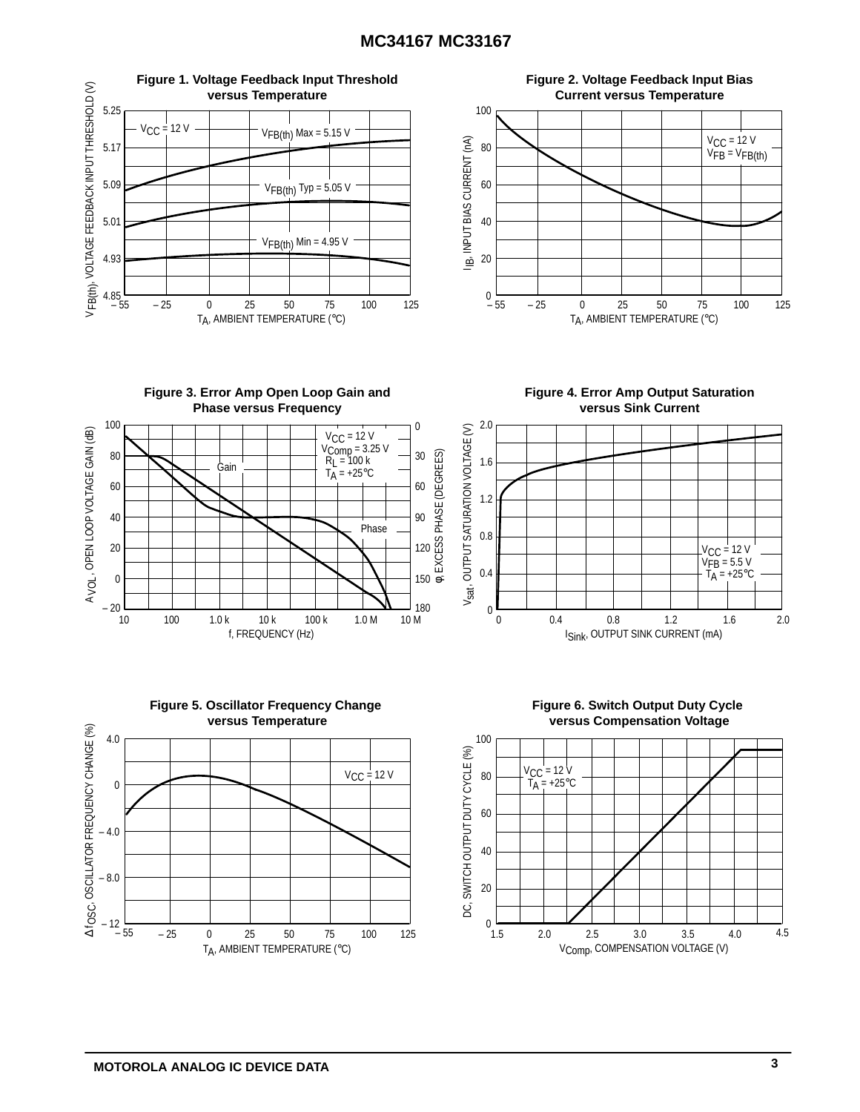



**Figure 3. Error Amp Open Loop Gain and Phase versus Frequency** 100 0 A VOL, OPEN LOOP VOLTAGE GAIN (dB) – 20 AVOL , OPEN LOOP VOLTAGE GAIN (dB)  $V_{CC}$  = 12 V VComp = 3.25 V 80 , EXCESS PHASE (DEGREES) 30 RL = 100 k Gain  $T_{\text{A}} = +25^{\circ} \text{C}$ 60 60 40 90 Phase 20 120 0 150 φ  $-20$ — 180<br>10 M 100 1.0 k 10 k 100 k 1.0 M 10 100 1.0k 10k 100k 1.0M 10M f, FREQUENCY (Hz)



**Figure 4. Error Amp Output Saturation versus Sink Current**



0

 $\boldsymbol{0}$ 



**Figure 6. Switch Output Duty Cycle versus Compensation Voltage**



Vsat, OUTPUT SATURATION VOLTAGE (V) Vsat, OUTPUT SATURATION VOLTAGE (V)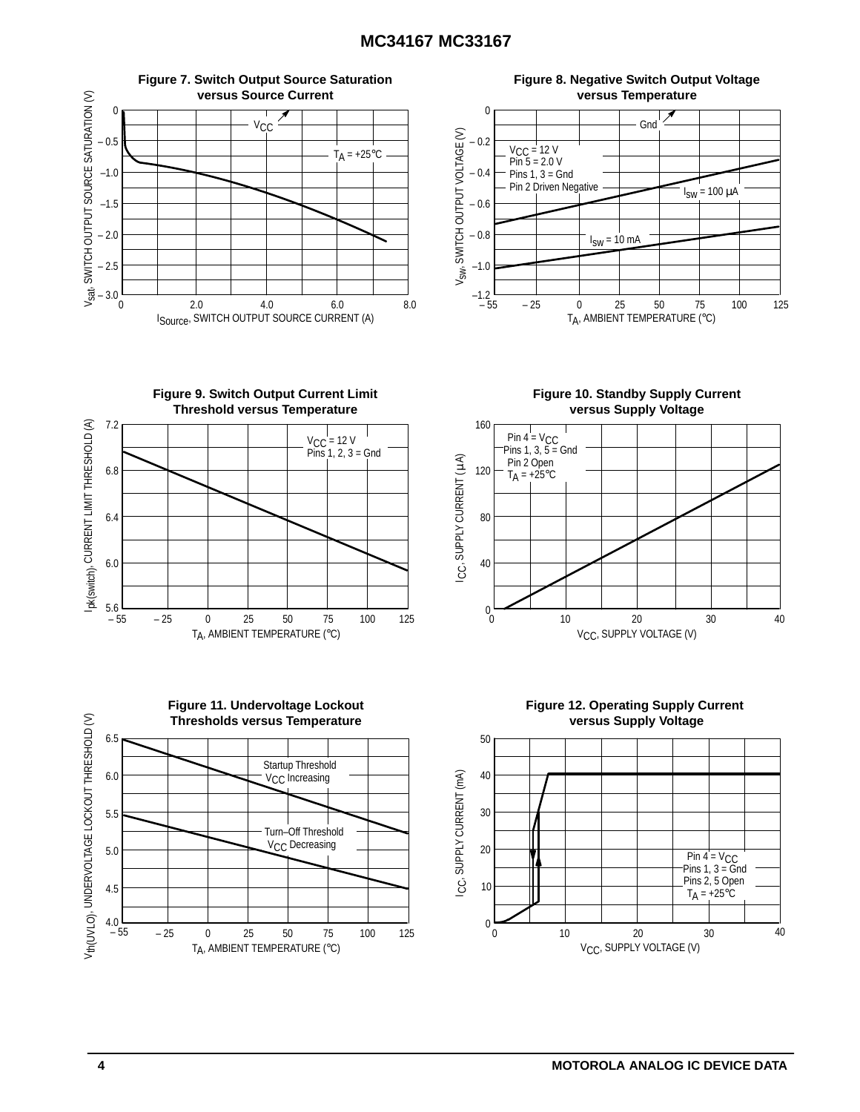

**Figure 8. Negative Switch Output Voltage versus Temperature**



**Figure 10. Standby Supply Current versus Supply Voltage**







**Figure 12. Operating Supply Current versus Supply Voltage**

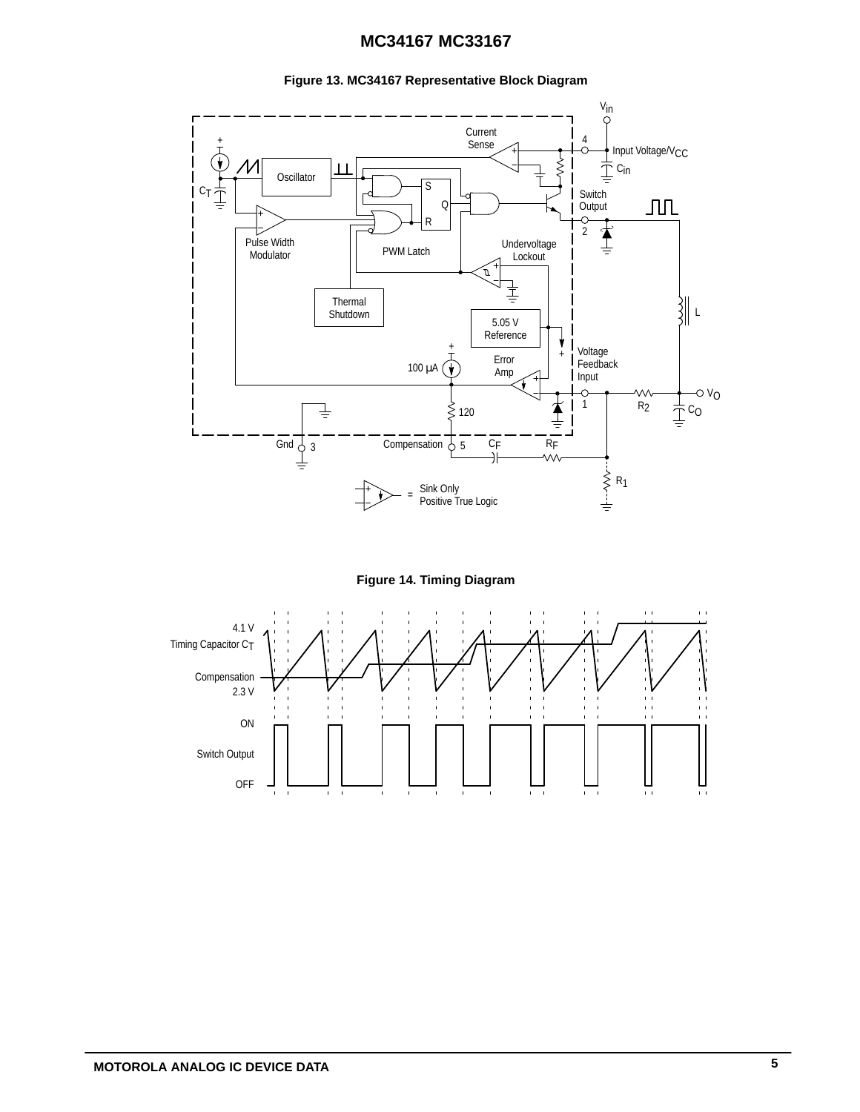### **Figure 13. MC34167 Representative Block Diagram**



#### **Figure 14. Timing Diagram**

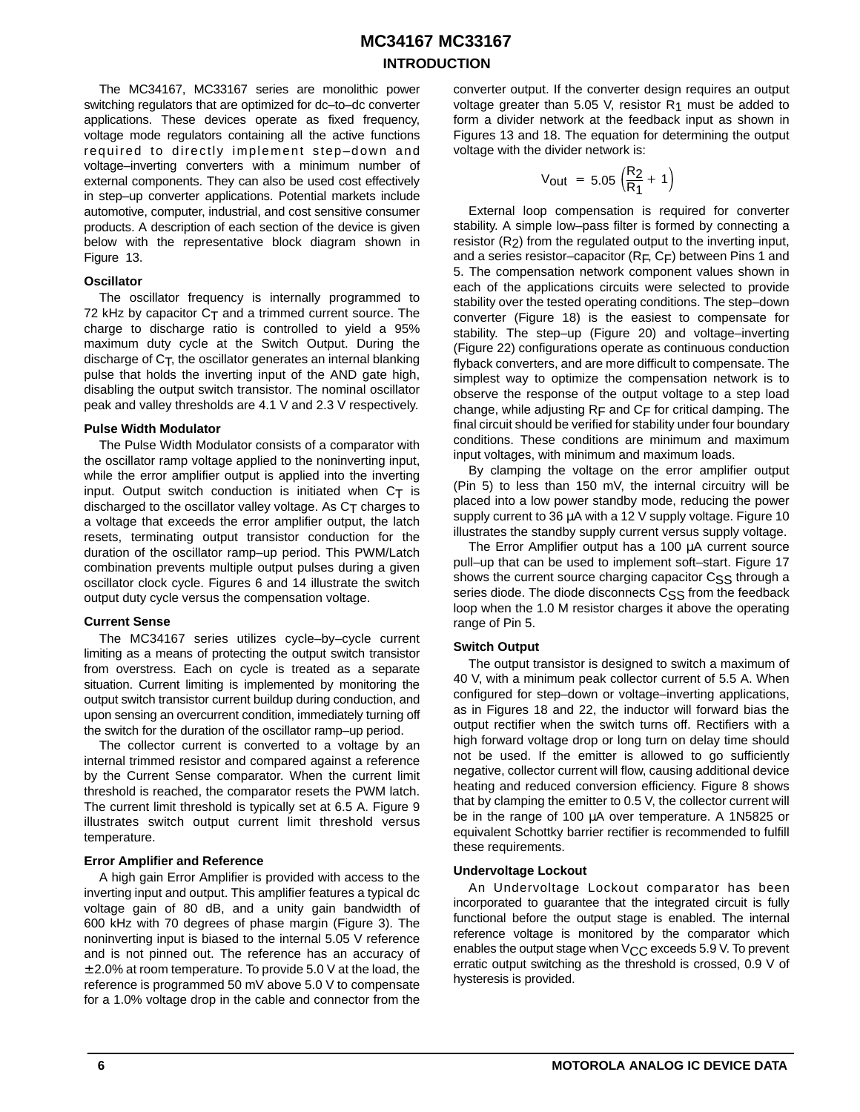### **MC34167 MC33167 INTRODUCTION**

The MC34167, MC33167 series are monolithic power switching regulators that are optimized for dc–to–dc converter applications. These devices operate as fixed frequency, voltage mode regulators containing all the active functions required to directly implement step–down and voltage–inverting converters with a minimum number of external components. They can also be used cost effectively in step–up converter applications. Potential markets include automotive, computer, industrial, and cost sensitive consumer products. A description of each section of the device is given below with the representative block diagram shown in Figure 13.

#### **Oscillator**

The oscillator frequency is internally programmed to 72 kHz by capacitor  $C_T$  and a trimmed current source. The charge to discharge ratio is controlled to yield a 95% maximum duty cycle at the Switch Output. During the discharge of  $C_T$ , the oscillator generates an internal blanking pulse that holds the inverting input of the AND gate high, disabling the output switch transistor. The nominal oscillator peak and valley thresholds are 4.1 V and 2.3 V respectively.

#### **Pulse Width Modulator**

The Pulse Width Modulator consists of a comparator with the oscillator ramp voltage applied to the noninverting input, while the error amplifier output is applied into the inverting input. Output switch conduction is initiated when  $C_T$  is discharged to the oscillator valley voltage. As  $C<sub>T</sub>$  charges to a voltage that exceeds the error amplifier output, the latch resets, terminating output transistor conduction for the duration of the oscillator ramp–up period. This PWM/Latch combination prevents multiple output pulses during a given oscillator clock cycle. Figures 6 and 14 illustrate the switch output duty cycle versus the compensation voltage.

#### **Current Sense**

The MC34167 series utilizes cycle–by–cycle current limiting as a means of protecting the output switch transistor from overstress. Each on cycle is treated as a separate situation. Current limiting is implemented by monitoring the output switch transistor current buildup during conduction, and upon sensing an overcurrent condition, immediately turning off the switch for the duration of the oscillator ramp–up period.

The collector current is converted to a voltage by an internal trimmed resistor and compared against a reference by the Current Sense comparator. When the current limit threshold is reached, the comparator resets the PWM latch. The current limit threshold is typically set at 6.5 A. Figure 9 illustrates switch output current limit threshold versus temperature.

#### **Error Amplifier and Reference**

A high gain Error Amplifier is provided with access to the inverting input and output. This amplifier features a typical dc voltage gain of 80 dB, and a unity gain bandwidth of 600 kHz with 70 degrees of phase margin (Figure 3). The noninverting input is biased to the internal 5.05 V reference and is not pinned out. The reference has an accuracy of  $\pm$  2.0% at room temperature. To provide 5.0 V at the load, the reference is programmed 50 mV above 5.0 V to compensate for a 1.0% voltage drop in the cable and connector from the converter output. If the converter design requires an output voltage greater than 5.05 V, resistor  $R_1$  must be added to form a divider network at the feedback input as shown in Figures 13 and 18. The equation for determining the output voltage with the divider network is:

$$
V_{\text{out}} = 5.05 \left( \frac{R_2}{R_1} + 1 \right)
$$

External loop compensation is required for converter stability. A simple low–pass filter is formed by connecting a resistor  $(R<sub>2</sub>)$  from the regulated output to the inverting input, and a series resistor–capacitor (RF, CF) between Pins 1 and 5. The compensation network component values shown in each of the applications circuits were selected to provide stability over the tested operating conditions. The step–down converter (Figure 18) is the easiest to compensate for stability. The step–up (Figure 20) and voltage–inverting (Figure 22) configurations operate as continuous conduction flyback converters, and are more difficult to compensate. The simplest way to optimize the compensation network is to observe the response of the output voltage to a step load change, while adjusting RF and CF for critical damping. The final circuit should be verified for stability under four boundary conditions. These conditions are minimum and maximum input voltages, with minimum and maximum loads.

By clamping the voltage on the error amplifier output (Pin 5) to less than 150 mV, the internal circuitry will be placed into a low power standby mode, reducing the power supply current to 36 µA with a 12 V supply voltage. Figure 10 illustrates the standby supply current versus supply voltage.

The Error Amplifier output has a 100 µA current source pull–up that can be used to implement soft–start. Figure 17 shows the current source charging capacitor C<sub>SS</sub> through a series diode. The diode disconnects CSS from the feedback loop when the 1.0 M resistor charges it above the operating range of Pin 5.

#### **Switch Output**

The output transistor is designed to switch a maximum of 40 V, with a minimum peak collector current of 5.5 A. When configured for step–down or voltage–inverting applications, as in Figures 18 and 22, the inductor will forward bias the output rectifier when the switch turns off. Rectifiers with a high forward voltage drop or long turn on delay time should not be used. If the emitter is allowed to go sufficiently negative, collector current will flow, causing additional device heating and reduced conversion efficiency. Figure 8 shows that by clamping the emitter to 0.5 V, the collector current will be in the range of 100 µA over temperature. A 1N5825 or equivalent Schottky barrier rectifier is recommended to fulfill these requirements.

#### **Undervoltage Lockout**

An Undervoltage Lockout comparator has been incorporated to guarantee that the integrated circuit is fully functional before the output stage is enabled. The internal reference voltage is monitored by the comparator which enables the output stage when V<sub>CC</sub> exceeds 5.9 V. To prevent erratic output switching as the threshold is crossed, 0.9 V of hysteresis is provided.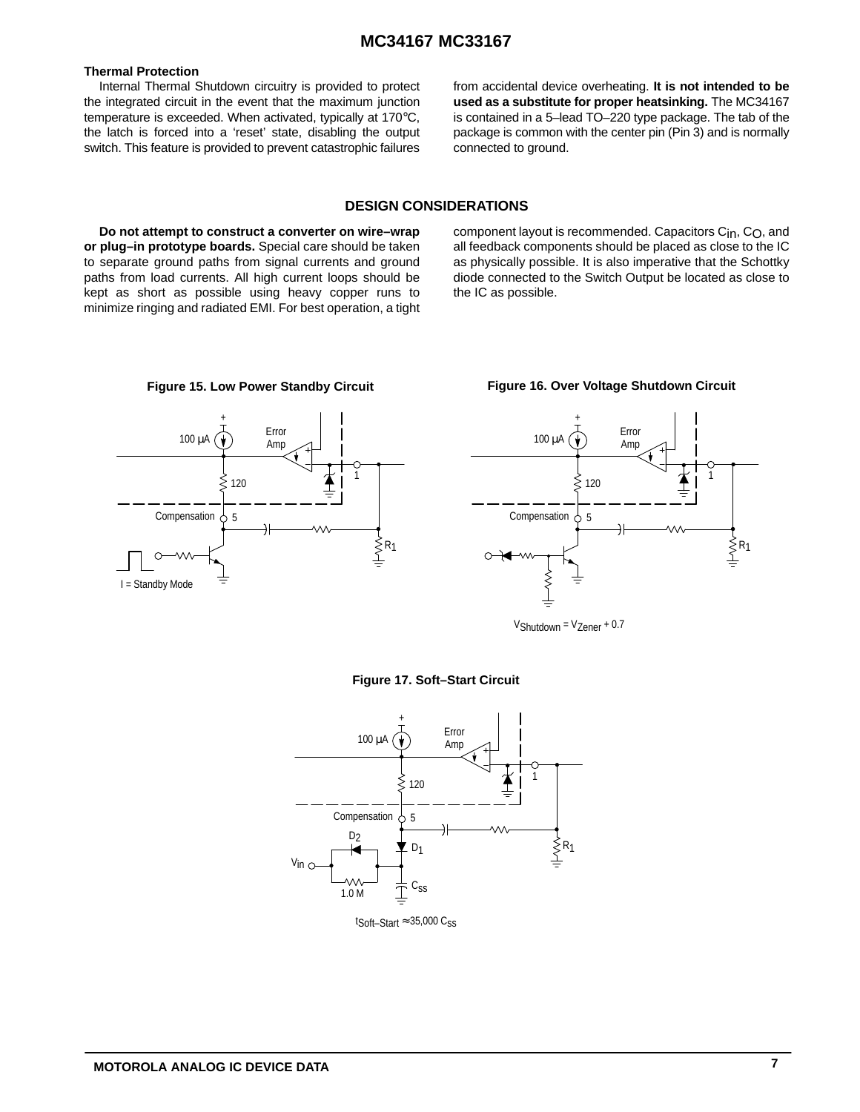#### **Thermal Protection**

Internal Thermal Shutdown circuitry is provided to protect the integrated circuit in the event that the maximum junction temperature is exceeded. When activated, typically at 170°C, the latch is forced into a 'reset' state, disabling the output switch. This feature is provided to prevent catastrophic failures from accidental device overheating. **It is not intended to be used as a substitute for proper heatsinking.** The MC34167 is contained in a 5–lead TO–220 type package. The tab of the package is common with the center pin (Pin 3) and is normally connected to ground.

#### **DESIGN CONSIDERATIONS**

**Do not attempt to construct a converter on wire–wrap or plug–in prototype boards.** Special care should be taken to separate ground paths from signal currents and ground paths from load currents. All high current loops should be kept as short as possible using heavy copper runs to minimize ringing and radiated EMI. For best operation, a tight component layout is recommended. Capacitors C<sub>in</sub>, C<sub>O</sub>, and all feedback components should be placed as close to the IC as physically possible. It is also imperative that the Schottky diode connected to the Switch Output be located as close to the IC as possible.



**Figure 15. Low Power Standby Circuit Figure 16. Over Voltage Shutdown Circuit**



 $V$ Shutdown =  $V$ Zener + 0.7

#### **Figure 17. Soft–Start Circuit**

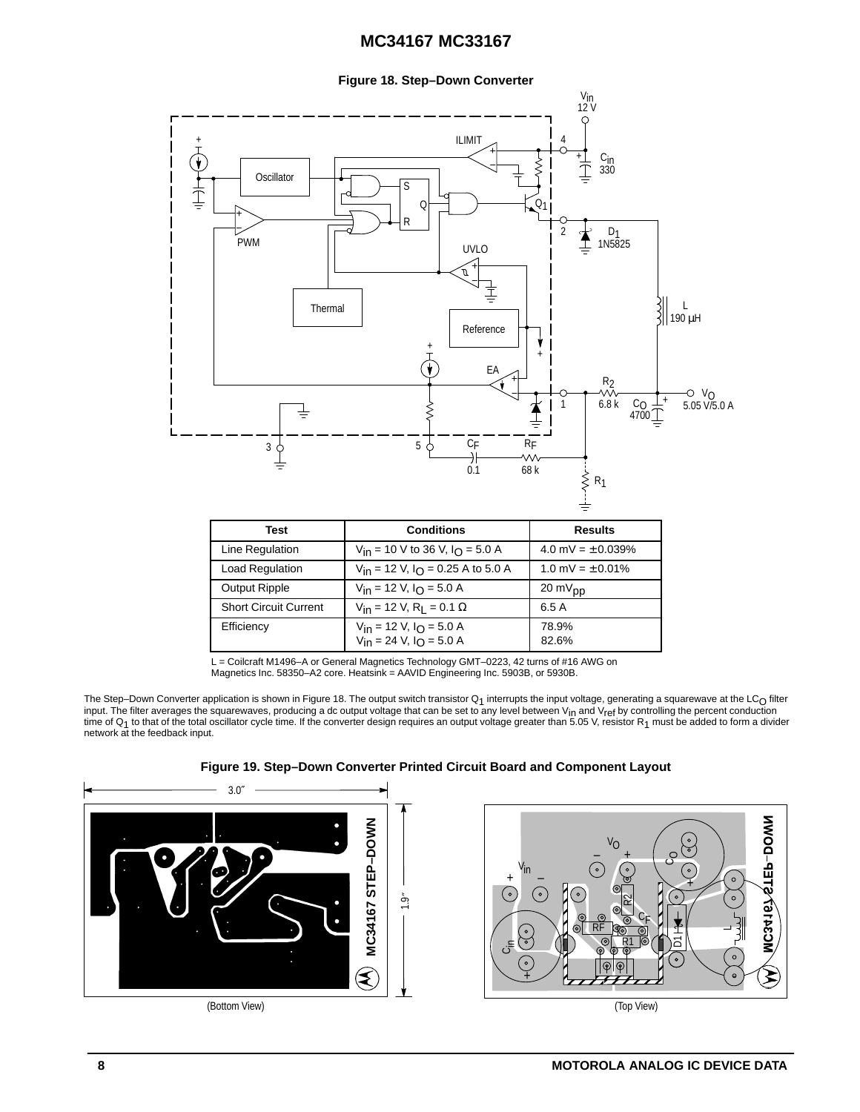#### **Figure 18. Step–Down Converter**



| Test                         | <b>Conditions</b>                                                               | Results                     |
|------------------------------|---------------------------------------------------------------------------------|-----------------------------|
| Line Regulation              | V <sub>in</sub> = 10 V to 36 V, $I_{\Omega}$ = 5.0 A                            | 4.0 mV = $\pm$ 0.039%       |
| Load Regulation              | $V_{in}$ = 12 V, $I_{\bigcap}$ = 0.25 A to 5.0 A                                | $1.0$ mV = $\pm$ 0.01%      |
| <b>Output Ripple</b>         | $V_{in}$ = 12 V, $I_{\bigcap}$ = 5.0 A                                          | $20 \text{ mV}_{\text{pp}}$ |
| <b>Short Circuit Current</b> | $V_{in}$ = 12 V, R <sub>1</sub> = 0.1 $\Omega$                                  | 6.5 A                       |
| Efficiency                   | $V_{in}$ = 12 V, $I_{\bigcap}$ = 5.0 A<br>$V_{in}$ = 24 V, $I_{\Omega}$ = 5.0 A | 78.9%<br>82.6%              |

L = Coilcraft M1496–A or General Magnetics Technology GMT–0223, 42 turns of #16 AWG on Magnetics Inc. 58350–A2 core. Heatsink = AAVID Engineering Inc. 5903B, or 5930B.

The Step–Down Converter application is shown in Figure 18. The output switch transistor  $Q_1$  interrupts the input voltage, generating a squarewave at the LC<sub>O</sub> filter input. The filter averages the squarewaves, producing a dc output voltage that can be set to any level between V<sub>in</sub> and V<sub>ref</sub> by controlling the percent conduction time of Q<sub>1</sub> to that of the total oscillator cycle time. If the converter design requires an output voltage greater than 5.05 V, resistor R<sub>1</sub> must be added to form a divider network at the feedback input.



(Bottom View)





(Top View)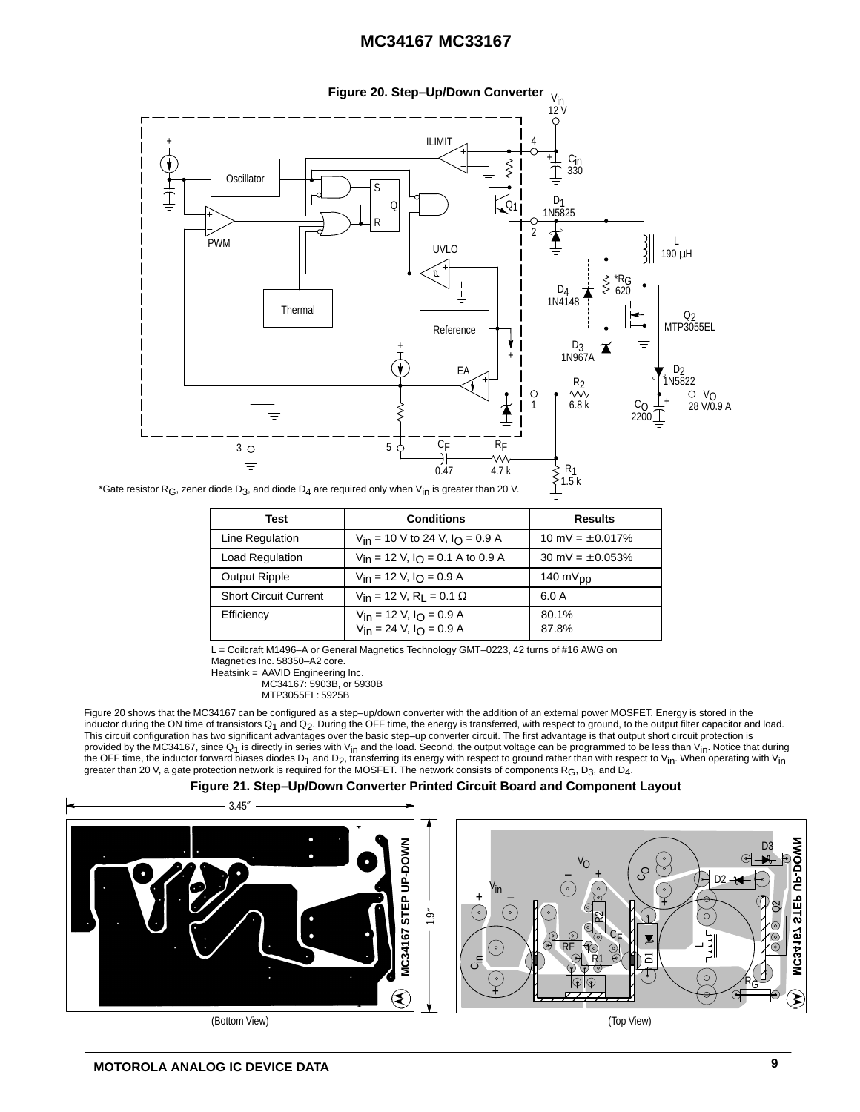

\*Gate resistor R<sub>G</sub>, zener diode D<sub>3</sub>, and diode D<sub>4</sub> are required only when V<sub>in</sub> is greater than 20 V.

| Test                         | <b>Conditions</b>                                                                | <b>Results</b>                |
|------------------------------|----------------------------------------------------------------------------------|-------------------------------|
| Line Regulation              | $V_{in}$ = 10 V to 24 V, $I_{\bigcap}$ = 0.9 A                                   | $10 \text{ mV} = \pm 0.017\%$ |
| Load Regulation              | $V_{in}$ = 12 V, $I_{\bigcap}$ = 0.1 A to 0.9 A                                  | $30 \text{ mV} = \pm 0.053\%$ |
| <b>Output Ripple</b>         | $V_{in}$ = 12 V, $I_{\bigcap}$ = 0.9 A                                           | 140 m $V_{DD}$                |
| <b>Short Circuit Current</b> | $V_{in}$ = 12 V, R <sub>1</sub> = 0.1 $\Omega$                                   | 6.0 A                         |
| Efficiency                   | $V_{in}$ = 12 V, I <sub>O</sub> = 0.9 A<br>$V_{in}$ = 24 V, $I_{\Omega}$ = 0.9 A | 80.1%<br>87.8%                |

L = Coilcraft M1496-A or General Magnetics Technology GMT-0223, 42 turns of #16 AWG on

Magnetics Inc. 58350-A2 core.

Heatsink = AAVID Engineering Inc.

MC34167: 5903B, or 5930B

MTP3055EL: 5925B

Figure 20 shows that the MC34167 can be configured as a step–up/down converter with the addition of an external power MOSFET. Energy is stored in the inductor during the ON time of transistors Q<sub>1</sub> and Q<sub>2</sub>. During the OFF time, the energy is transferred, with respect to ground, to the output filter capacitor and load. This circuit configuration has two significant advantages over the basic step–up converter circuit. The first advantage is that output short circuit protection is provided by the MC34167, since  $Q_1$  is directly in series with V<sub>in</sub> and the load. Second, the output voltage can be programmed to be less than V<sub>in</sub>. Notice that during the OFF time, the inductor forward biases diodes D<sub>1</sub> and D<sub>2</sub>, transferring its energy with respect to ground rather than with respect to V<sub>in</sub>. When operating with V<sub>in</sub> greater than 20 V, a gate protection network is required for the MOSFET. The network consists of components  $\rm R_G$ , D $_3$ , and D $_4$ .





**MOTOROLA ANALOG IC DEVICE DATA 9**

RG

D3

 $\circ \rightarrow$ ി

 $\mathbb S$ 

 $\overline{\phantom{0}}$ 

 $\circ$ 

 $D2 - 1$ 

 $\mathbf{u}$   $\mathbf{v}$   $\mathbf{v}$   $\mathbf{v}$   $\mathbf{v}$   $\mathbf{v}$   $\mathbf{v}$   $\mathbf{v}$   $\mathbf{v}$   $\mathbf{v}$   $\mathbf{v}$   $\mathbf{v}$   $\mathbf{v}$   $\mathbf{v}$   $\mathbf{v}$   $\mathbf{v}$   $\mathbf{v}$   $\mathbf{v}$   $\mathbf{v}$   $\mathbf{v}$   $\mathbf{v}$   $\mathbf{v}$   $\mathbf{v}$   $\mathbf{v}$   $\mathbf{$  $\mathbf{I}$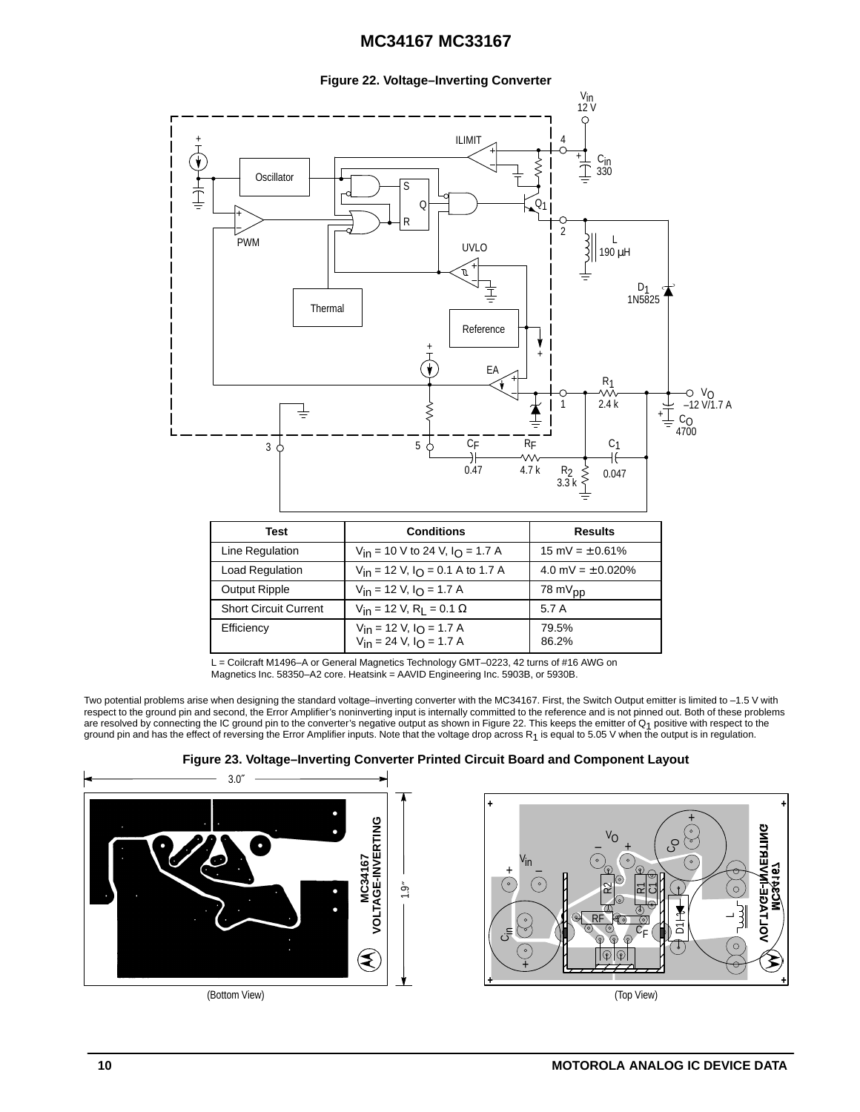#### **Figure 22. Voltage–Inverting Converter**



| Test                         | <b>Conditions</b>                                                                | <b>Results</b>              |
|------------------------------|----------------------------------------------------------------------------------|-----------------------------|
| Line Regulation              | $V_{in}$ = 10 V to 24 V, $I_{\Omega}$ = 1.7 A                                    | 15 mV = $\pm$ 0.61%         |
| Load Regulation              | $V_{in}$ = 12 V, $I_{\Omega}$ = 0.1 A to 1.7 A                                   | 4.0 mV = $\pm$ 0.020%       |
| <b>Output Ripple</b>         | $V_{in}$ = 12 V, $I_{\bigcap}$ = 1.7 A                                           | $78 \text{ mV}_{\text{DD}}$ |
| <b>Short Circuit Current</b> | $V_{in}$ = 12 V, R <sub>I</sub> = 0.1 $\Omega$                                   | 5.7 A                       |
| Efficiency                   | $V_{in}$ = 12 V, I <sub>O</sub> = 1.7 A<br>$V_{in}$ = 24 V, $I_{\Omega}$ = 1.7 A | 79.5%<br>86.2%              |

L = Coilcraft M1496-A or General Magnetics Technology GMT-0223, 42 turns of #16 AWG on Magnetics Inc. 58350–A2 core. Heatsink = AAVID Engineering Inc. 5903B, or 5930B.

Two potential problems arise when designing the standard voltage–inverting converter with the MC34167. First, the Switch Output emitter is limited to –1.5 V with respect to the ground pin and second, the Error Amplifier's noninverting input is internally committed to the reference and is not pinned out. Both of these problems are resolved by connecting the IC ground pin to the converter's negative output as shown in Figure 22. This keeps the emitter of  $Q_1$  positive with respect to the ground pin and has the effect of reversing the Error Amplifier inputs. Note that the voltage drop across  $R_1$  is equal to 5.05 V when the output is in regulation.



**Figure 23. Voltage–Inverting Converter Printed Circuit Board and Component Layout**

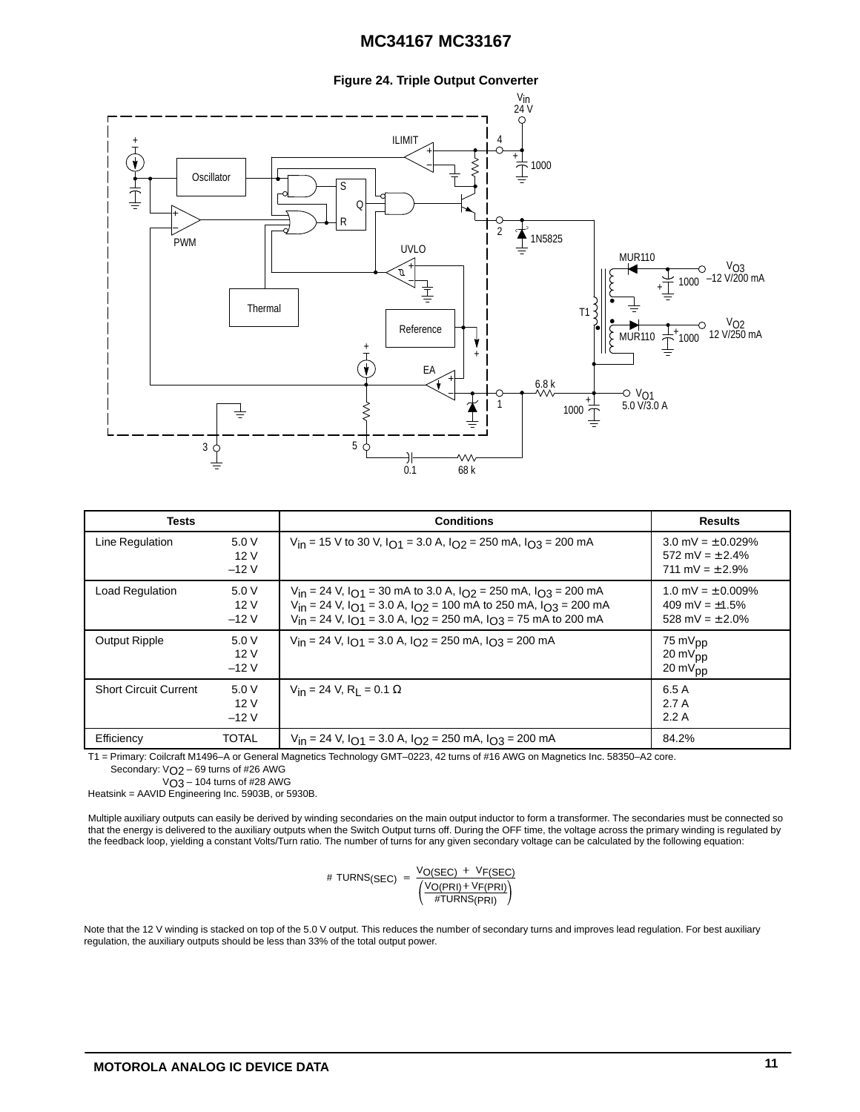



| <b>Tests</b>                 |                        | <b>Conditions</b>                                                                                                                                                                                                                                         | <b>Results</b>                                                               |
|------------------------------|------------------------|-----------------------------------------------------------------------------------------------------------------------------------------------------------------------------------------------------------------------------------------------------------|------------------------------------------------------------------------------|
| Line Regulation              | 5.0V<br>12V<br>$-12V$  | $V_{in}$ = 15 V to 30 V, $I_{01}$ = 3.0 A, $I_{02}$ = 250 mA, $I_{03}$ = 200 mA                                                                                                                                                                           | $3.0 \text{ mV} = \pm 0.029\%$<br>572 mV = $\pm$ 2.4%<br>711 mV = $\pm$ 2.9% |
| Load Regulation              | 5.0V<br>12V<br>$-12V$  | $V_{in}$ = 24 V, $I_{O1}$ = 30 mA to 3.0 A, $I_{O2}$ = 250 mA, $I_{O3}$ = 200 mA<br>$V_{in}$ = 24 V, $I_{O1}$ = 3.0 A, $I_{O2}$ = 100 mA to 250 mA, $I_{O3}$ = 200 mA<br>$V_{in}$ = 24 V, $I_{O1}$ = 3.0 A, $I_{O2}$ = 250 mA, $I_{O3}$ = 75 mA to 200 mA | $1.0 \text{ mV} = \pm 0.009\%$<br>409 mV = $\pm$ 1.5%<br>528 mV = $\pm$ 2.0% |
| Output Ripple                | 5.0V<br>12V<br>$-12V$  | $V_{in}$ = 24 V, $I_{O1}$ = 3.0 A, $I_{O2}$ = 250 mA, $I_{O3}$ = 200 mA                                                                                                                                                                                   | 75 m $V_{DD}$<br>$20 \text{ mV}$ pp<br>20 mV <sub>pp</sub>                   |
| <b>Short Circuit Current</b> | 5.0V<br>12 V<br>$-12V$ | $V_{in} = 24$ V, R <sub>I</sub> = 0.1 $\Omega$                                                                                                                                                                                                            | 6.5 A<br>2.7A<br>2.2A                                                        |
| Efficiency                   | <b>TOTAL</b>           | $V_{in}$ = 24 V, $I_{O1}$ = 3.0 A, $I_{O2}$ = 250 mA, $I_{O3}$ = 200 mA                                                                                                                                                                                   | 84.2%                                                                        |

T1 = Primary: Coilcraft M1496–A or General Magnetics Technology GMT–0223, 42 turns of #16 AWG on Magnetics Inc. 58350–A2 core. Secondary:  $V_{O2}$  – 69 turns of #26 AWG

T1 = Secondary: VO3 – 104 turns of #28 AWG Heatsink = AAVID Engineering Inc. 5903B, or 5930B.

Multiple auxiliary outputs can easily be derived by winding secondaries on the main output inductor to form a transformer. The secondaries must be connected so that the energy is delivered to the auxiliary outputs when the Switch Output turns off. During the OFF time, the voltage across the primary winding is regulated by the feedback loop, yielding a constant Volts/Turn ratio. The number of turns for any given secondary voltage can be calculated by the following equation:

# TURNS(SEC) = 
$$
\frac{V_{O(SEC)} + V_{F(SEC)}}{\left(\frac{V_{O(PRI)} + V_{F(PRI)}}{\# TURNS(PRI)}\right)}
$$

Note that the 12 V winding is stacked on top of the 5.0 V output. This reduces the number of secondary turns and improves lead regulation. For best auxiliary regulation, the auxiliary outputs should be less than 33% of the total output power.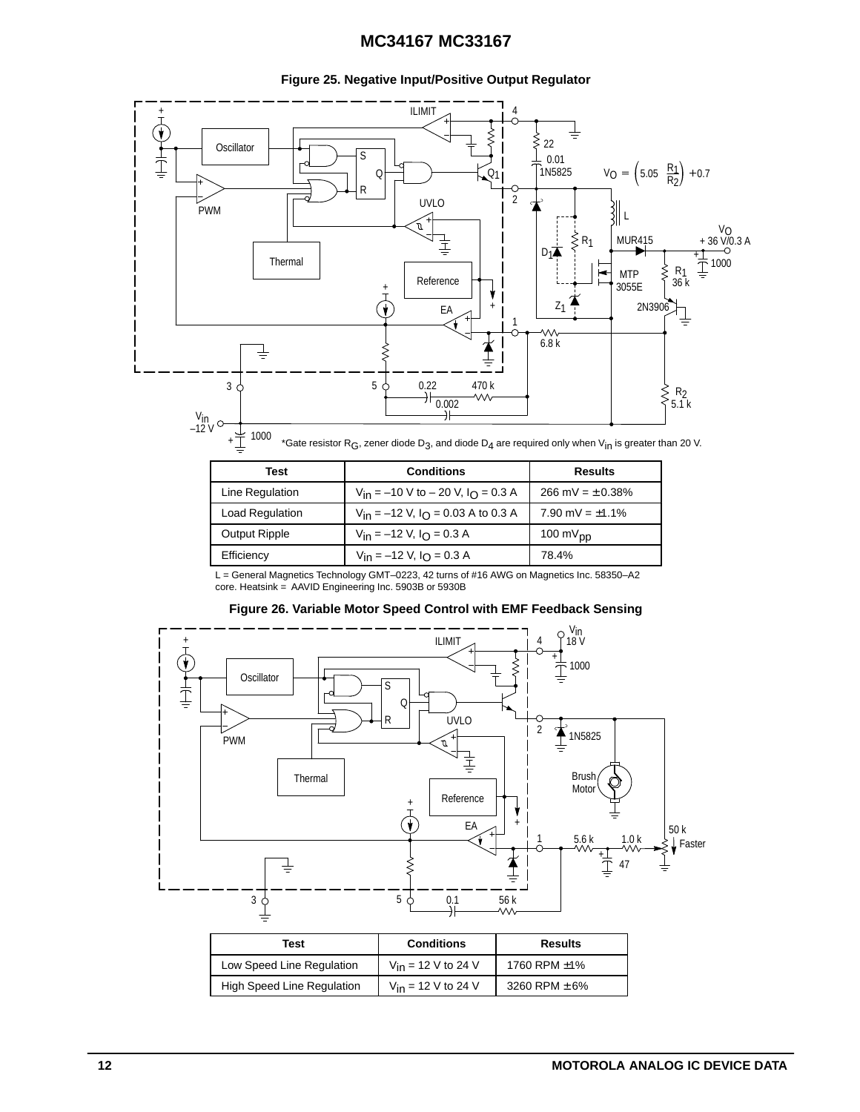



| Test            | <b>Conditions</b>                                   | <b>Results</b>       |
|-----------------|-----------------------------------------------------|----------------------|
| Line Regulation | $V_{in} = -10$ V to $- 20$ V, $I_{\bigcap} = 0.3$ A | 266 mV = $\pm$ 0.38% |
| Load Regulation | $V_{in} = -12$ V, $I_{\Omega} = 0.03$ A to 0.3 A    | 7.90 mV = $\pm$ 1.1% |
| Output Ripple   | $V_{in} = -12$ V, $I_{\bigcap} = 0.3$ A             | 100 m $V_{DD}$       |
| Efficiency      | $V_{in} = -12$ V, $I_{\bigcap} = 0.3$ A             | 78.4%                |

L = General Magnetics Technology GMT–0223, 42 turns of #16 AWG on Magnetics Inc. 58350–A2 core. Heatsink = AAVID Engineering Inc. 5903B or 5930B





| Test                       | <b>Conditions</b>       | <b>Results</b>    |
|----------------------------|-------------------------|-------------------|
| Low Speed Line Regulation  | $V_{in}$ = 12 V to 24 V | 1760 RPM ±1%      |
| High Speed Line Regulation | $V_{in}$ = 12 V to 24 V | 3260 RPM $\pm$ 6% |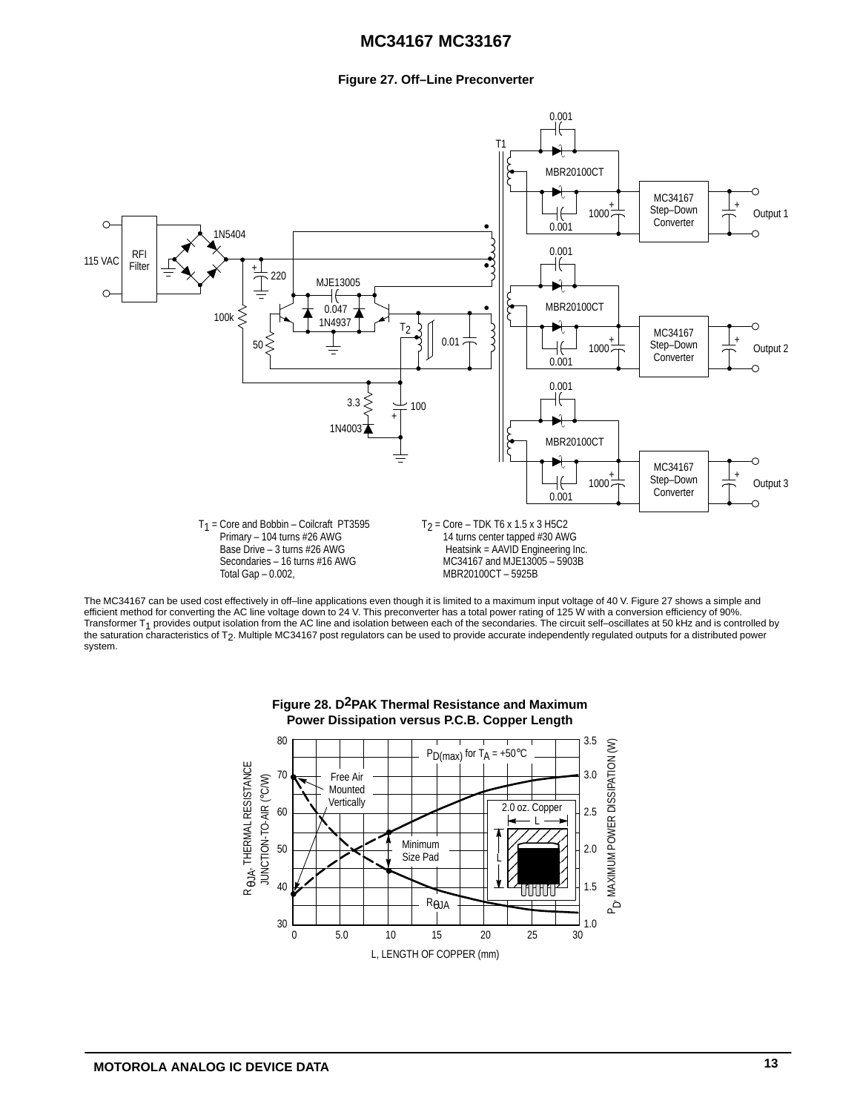#### **Figure 27. Off–Line Preconverter**



The MC34167 can be used cost effectively in off–line applications even though it is limited to a maximum input voltage of 40 V. Figure 27 shows a simple and efficient method for converting the AC line voltage down to 24 V. This preconverter has a total power rating of 125 W with a conversion efficiency of 90%. Transformer T<sub>1</sub> provides output isolation from the AC line and isolation between each of the secondaries. The circuit self–oscillates at 50 kHz and is controlled by the saturation characteristics of T2. Multiple MC34167 post regulators can be used to provide accurate independently regulated outputs for a distributed power system.



**Figure 28. D2PAK Thermal Resistance and Maximum Power Dissipation versus P.C.B. Copper Length**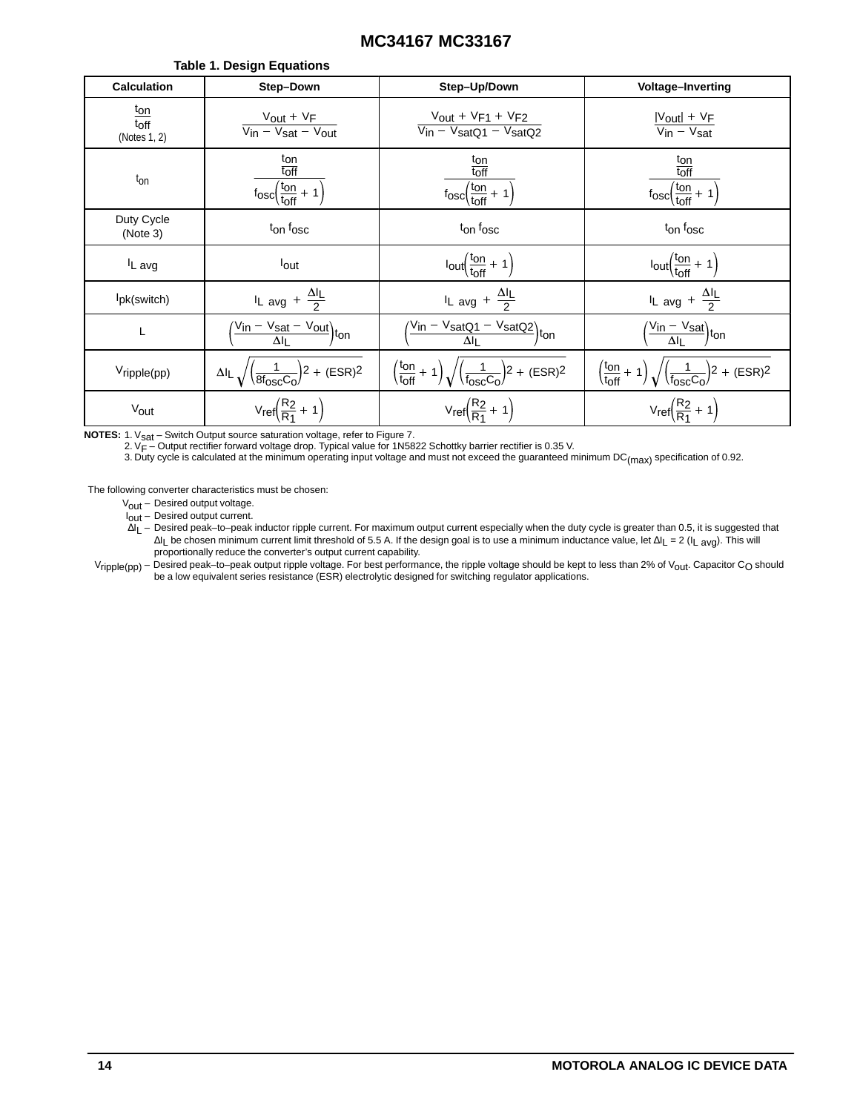|                                          | <b>Table 1. Design Equations</b>                                                                                                            |                                                                                                                         |                                                                                                                        |
|------------------------------------------|---------------------------------------------------------------------------------------------------------------------------------------------|-------------------------------------------------------------------------------------------------------------------------|------------------------------------------------------------------------------------------------------------------------|
| <b>Calculation</b>                       | Step-Down                                                                                                                                   | Step-Up/Down                                                                                                            | <b>Voltage-Inverting</b>                                                                                               |
| $\frac{t_{on}}{t_{off}}$<br>(Notes 1, 2) | $\frac{V_{\text{out}} + V_{\text{F}}}{V_{\text{in}} - V_{\text{sat}} - V_{\text{out}}}$                                                     | $\frac{V_{\text{out}} + V_{\text{F1}} + V_{\text{F2}}}{V_{\text{in}} - V_{\text{satQ1}} - V_{\text{satQ2}}}$            | $\frac{ \mathsf{V}_{\mathsf{out}}  + \mathsf{V}_{\mathsf{F}}}{ \mathsf{V}_{\mathsf{in}} - \mathsf{V}_{\mathsf{sat}} }$ |
| t <sub>on</sub>                          | $\frac{\text{ton}}{\text{toff}}$<br>$f_{\text{OSC}}\left(\frac{\text{ton}}{\text{toff}} + 1\right)$                                         | $\frac{\text{ton}}{\text{toff}}$<br>$f_{\text{OSC}}\left(\frac{ton}{toff} + 1\right)$                                   | $\frac{\text{ton}}{\text{toff}}$<br>$f_{\text{OSC}}\left(\frac{ton}{toff} + 1\right)$                                  |
| Duty Cycle<br>(Note 3)                   | t <sub>on</sub> f <sub>osc</sub>                                                                                                            | t <sub>on</sub> f <sub>osc</sub>                                                                                        | ton fosc                                                                                                               |
| IL avg                                   | l <sub>out</sub>                                                                                                                            | $I_{\text{out}}\left(\frac{ton}{toff} + 1\right)$                                                                       | $I_{\text{out}}\left(\frac{\text{ton}}{\text{toff}} + 1\right)$                                                        |
| lpk(switch)                              | $I_L$ avg + $\frac{\Delta I_L}{2}$                                                                                                          | $I_L$ avg + $\frac{\Delta I_L}{2}$                                                                                      | $I_L$ avg + $\frac{\Delta I_L}{2}$                                                                                     |
| L                                        | $\left(\frac{\mathsf{V}_{\mathsf{in}} - \mathsf{V}_{\mathsf{sat}} - \mathsf{V}_{\mathsf{out}}}{\Delta \mathsf{I}_{\mathsf{I}}} \right)$ ton | $\frac{(\mathsf{V}\mathsf{in} - \mathsf{V}\mathsf{satQ1} - \mathsf{V}\mathsf{satQ2})}{\Delta \mathsf{I}\mathsf{L}}$ ton | $\left(\frac{V_{in} - V_{sat}}{\Delta I_{I}}\right)$ ton                                                               |
| $V$ ripple(pp)                           | $\Delta I_L \sqrt{\left(\frac{1}{8f_{\text{OSC}}C_0}\right)^2 + (ESR)^2}$                                                                   | $\left(\frac{t_{on}}{t_{off}} + 1\right)\sqrt{\left(\frac{1}{f_{OSC}C_{O}}\right)}$ 2 + (ESR) <sup>2</sup>              | $\left(\frac{t_{on}}{t_{off}} + 1\right)\sqrt{\left(\frac{1}{f_{OSC}C_O}\right)^2 + (ESR)^2}$                          |
| $V_{\text{out}}$                         | $V_{ref}(\frac{R_2}{R_1} + 1)$                                                                                                              | $V_{ref}(\frac{R_2}{R_1} + 1)$                                                                                          | $V_{ref}(\frac{R_2}{R_1} + 1)$                                                                                         |

**NOTES:** 1. V<sub>Sat</sub> – Switch Output source saturation voltage, refer to Figure 7.

2. VF – Output rectifier forward voltage drop. Typical value for 1N5822 Schottky barrier rectifier is 0.35 V.

3. Duty cycle is calculated at the minimum operating input voltage and must not exceed the guaranteed minimum DC<sub>(max)</sub> specification of 0.92.

The following converter characteristics must be chosen:

- V<sub>out</sub> Desired output voltage.
- Desired output current.

l<sub>out</sub> –<br>∆I<sub>L</sub> – Desired peak–to–peak inductor ripple current. For maximum output current especially when the duty cycle is greater than 0.5, it is suggested that ∆I<sub>L</sub> be chosen minimum current limit threshold of 5.5 A. If the design goal is to use a minimum inductance value, let ∆I<sub>L</sub> = 2 (I<sub>L avg</sub>). This will proportionally reduce the converter's output current capability.

Vripple(pp) – Desired peak–to–peak output ripple voltage. For best performance, the ripple voltage should be kept to less than 2% of V<sub>out</sub>. Capacitor C<sub>O</sub> should be a low equivalent series resistance (ESR) electrolytic designed for switching regulator applications.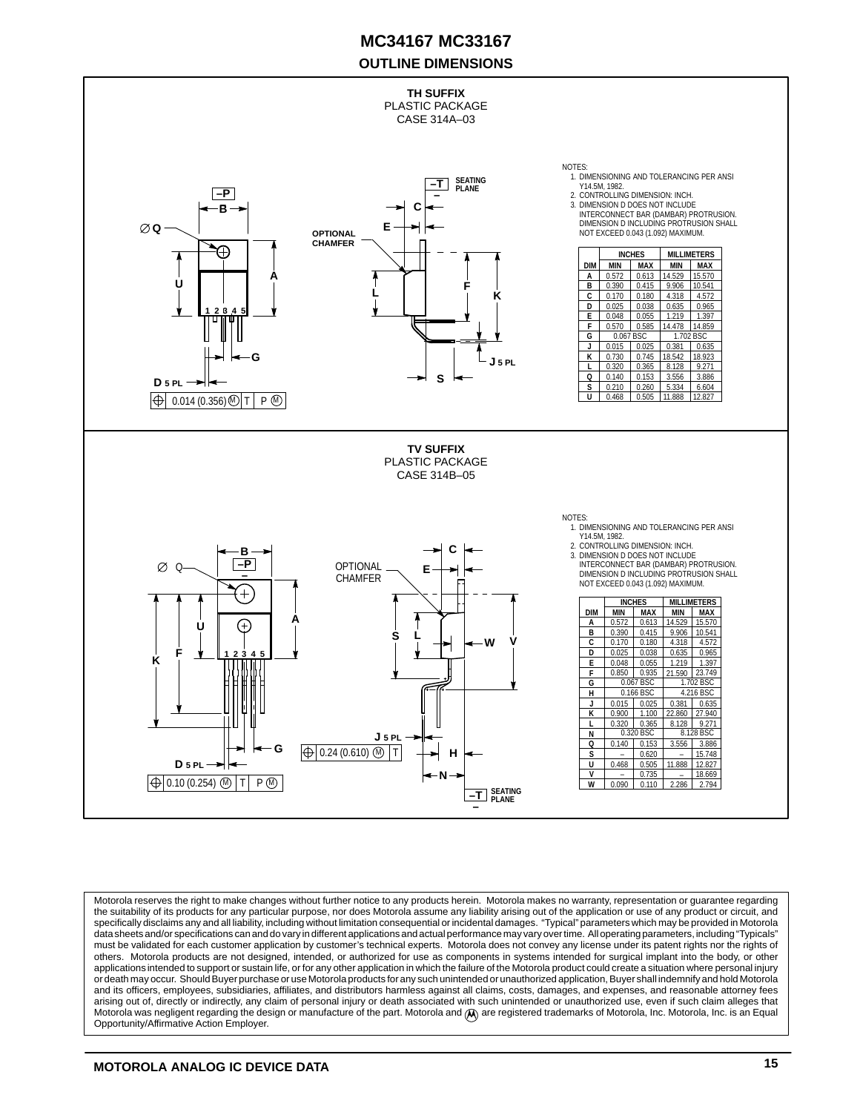### **MC34167 MC33167 OUTLINE DIMENSIONS**



Motorola reserves the right to make changes without further notice to any products herein. Motorola makes no warranty, representation or guarantee regarding the suitability of its products for any particular purpose, nor does Motorola assume any liability arising out of the application or use of any product or circuit, and specifically disclaims any and all liability, including without limitation consequential or incidental damages. "Typical" parameters which may be provided in Motorola data sheets and/or specifications can and do vary in different applications and actual performance may vary over time. All operating parameters, including "Typicals" must be validated for each customer application by customer's technical experts. Motorola does not convey any license under its patent rights nor the rights of others. Motorola products are not designed, intended, or authorized for use as components in systems intended for surgical implant into the body, or other applications intended to support or sustain life, or for any other application in which the failure of the Motorola product could create a situation where personal injury or death may occur. Should Buyer purchase or use Motorola products for any such unintended or unauthorized application, Buyer shall indemnify and hold Motorola and its officers, employees, subsidiaries, affiliates, and distributors harmless against all claims, costs, damages, and expenses, and reasonable attorney fees<br>arising out of, directly or indirectly, any claim of personal Motorola was negligent regarding the design or manufacture of the part. Motorola and  $( A )$  are registered trademarks of Motorola, Inc. Motorola, Inc. is an Equal Opportunity/Affirmative Action Employer.